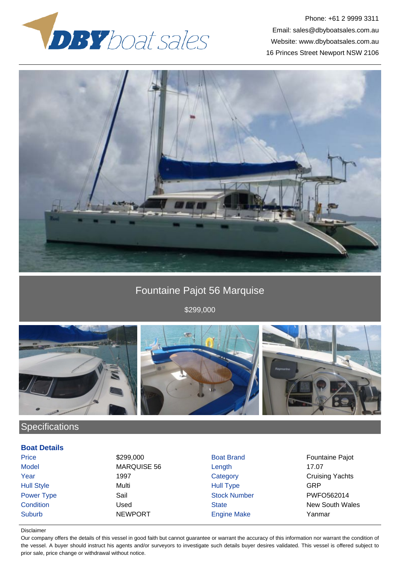



# Fountaine Pajot 56 Marquise

\$299,000



# **Specifications**

### **Boat Details**

Suburb NEWPORT Engine Make Yanmar

Model MARQUISE 56 Length 17.07 Hull Style Multi Hull Type GRP

Price 6 \$299,000 \$299,000 Boat Brand Fountaine Pajot **The 1997** Year Category Category Cruising Yachts Power Type Sail Sail Stock Number PWFO562014 **Condition** Condition Used Used State State New South Wales

### Disclaimer

Our company offers the details of this vessel in good faith but cannot guarantee or warrant the accuracy of this information nor warrant the condition of the vessel. A buyer should instruct his agents and/or surveyors to investigate such details buyer desires validated. This vessel is offered subject to prior sale, price change or withdrawal without notice.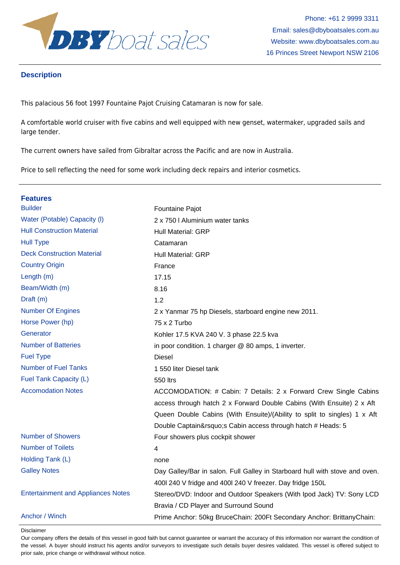

## **Description**

This palacious 56 foot 1997 Fountaine Pajot Cruising Catamaran is now for sale.

A comfortable world cruiser with five cabins and well equipped with new genset, watermaker, upgraded sails and large tender.

The current owners have sailed from Gibraltar across the Pacific and are now in Australia.

Price to sell reflecting the need for some work including deck repairs and interior cosmetics.

| <b>Features</b>                           |                                                                             |  |
|-------------------------------------------|-----------------------------------------------------------------------------|--|
| <b>Builder</b>                            | Fountaine Pajot                                                             |  |
| Water (Potable) Capacity (I)              | 2 x 750   Aluminium water tanks                                             |  |
| <b>Hull Construction Material</b>         | <b>Hull Material: GRP</b>                                                   |  |
| <b>Hull Type</b>                          | Catamaran                                                                   |  |
| <b>Deck Construction Material</b>         | <b>Hull Material: GRP</b>                                                   |  |
| <b>Country Origin</b>                     | France                                                                      |  |
| Length (m)                                | 17.15                                                                       |  |
| Beam/Width (m)                            | 8.16                                                                        |  |
| Draft (m)                                 | 1.2                                                                         |  |
| <b>Number Of Engines</b>                  | 2 x Yanmar 75 hp Diesels, starboard engine new 2011.                        |  |
| Horse Power (hp)                          | 75 x 2 Turbo                                                                |  |
| Generator                                 | Kohler 17.5 KVA 240 V. 3 phase 22.5 kva                                     |  |
| <b>Number of Batteries</b>                | in poor condition. 1 charger @ 80 amps, 1 inverter.                         |  |
| <b>Fuel Type</b>                          | Diesel                                                                      |  |
| <b>Number of Fuel Tanks</b>               | 1 550 liter Diesel tank                                                     |  |
| Fuel Tank Capacity (L)                    | <b>550 ltrs</b>                                                             |  |
| <b>Accomodation Notes</b>                 | ACCOMODATION: # Cabin: 7 Details: 2 x Forward Crew Single Cabins            |  |
|                                           | access through hatch 2 x Forward Double Cabins (With Ensuite) 2 x Aft       |  |
|                                           | Queen Double Cabins (With Ensuite)/(Ability to split to singles) 1 x Aft    |  |
|                                           | Double Captain's Cabin access through hatch # Heads: 5                      |  |
| <b>Number of Showers</b>                  | Four showers plus cockpit shower                                            |  |
| <b>Number of Toilets</b>                  | $\overline{\mathbf{4}}$                                                     |  |
| Holding Tank (L)                          | none                                                                        |  |
| <b>Galley Notes</b>                       | Day Galley/Bar in salon. Full Galley in Starboard hull with stove and oven. |  |
|                                           | 400l 240 V fridge and 400l 240 V freezer. Day fridge 150L                   |  |
| <b>Entertainment and Appliances Notes</b> | Stereo/DVD: Indoor and Outdoor Speakers (With Ipod Jack) TV: Sony LCD       |  |
|                                           | Bravia / CD Player and Surround Sound                                       |  |
| Anchor / Winch                            | Prime Anchor: 50kg Bruce Chain: 200Ft Secondary Anchor: Brittany Chain:     |  |

Disclaimer

Our company offers the details of this vessel in good faith but cannot guarantee or warrant the accuracy of this information nor warrant the condition of the vessel. A buyer should instruct his agents and/or surveyors to investigate such details buyer desires validated. This vessel is offered subject to prior sale, price change or withdrawal without notice.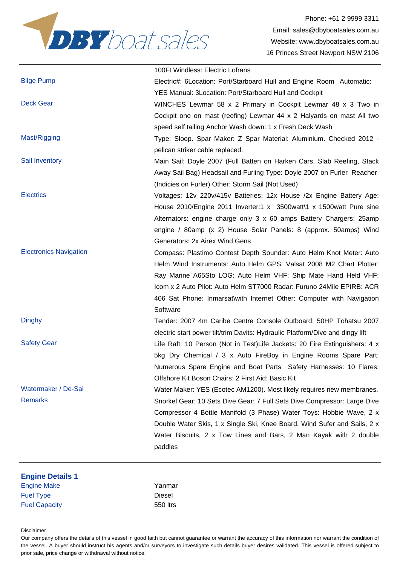

|                               | 100Ft Windless: Electric Lofrans                                              |
|-------------------------------|-------------------------------------------------------------------------------|
| <b>Bilge Pump</b>             | Electric #: 6 Location: Port/Starboard Hull and Engine Room Automatic:        |
|                               | YES Manual: 3 Location: Port/Starboard Hull and Cockpit                       |
| <b>Deck Gear</b>              | WINCHES Lewmar 58 x 2 Primary in Cockpit Lewmar 48 x 3 Two in                 |
|                               | Cockpit one on mast (reefing) Lewmar 44 x 2 Halyards on mast All two          |
|                               | speed self tailing Anchor Wash down: 1 x Fresh Deck Wash                      |
| Mast/Rigging                  | Type: Sloop. Spar Maker: Z Spar Material: Aluminium. Checked 2012 -           |
|                               | pelican striker cable replaced.                                               |
| Sail Inventory                | Main Sail: Doyle 2007 (Full Batten on Harken Cars, Slab Reefing, Stack        |
|                               | Away Sail Bag) Headsail and Furling Type: Doyle 2007 on Furler Reacher        |
|                               | (Indicies on Furler) Other: Storm Sail (Not Used)                             |
| <b>Electrics</b>              | Voltages: 12v 220v/415v Batteries: 12x House /2x Engine Battery Age:          |
|                               | House 2010/Engine 2011 Inverter:1 x 3500watt\1 x 1500watt Pure sine           |
|                               | Alternators: engine charge only 3 x 60 amps Battery Chargers: 25amp           |
|                               | engine / 80amp (x 2) House Solar Panels: 8 (approx. 50amps) Wind              |
|                               | Generators: 2x Airex Wind Gens                                                |
| <b>Electronics Navigation</b> | Compass: Plastimo Contest Depth Sounder: Auto Helm Knot Meter: Auto           |
|                               | Helm Wind Instruments: Auto Helm GPS: Valsat 2008 M2 Chart Plotter:           |
|                               | Ray Marine A65Sto LOG: Auto Helm VHF: Ship Mate Hand Held VHF:                |
|                               | Icom x 2 Auto Pilot: Auto Helm ST7000 Radar: Furuno 24Mile EPIRB: ACR         |
|                               | 406 Sat Phone: Inmarsat\with Internet Other: Computer with Navigation         |
|                               | Software                                                                      |
| <b>Dinghy</b>                 | Tender: 2007 4m Caribe Centre Console Outboard: 50HP Tohatsu 2007             |
|                               | electric start power tilt/trim Davits: Hydraulic Platform/Dive and dingy lift |
| <b>Safety Gear</b>            | Life Raft: 10 Person (Not in Test)Life Jackets: 20 Fire Extinguishers: 4 x    |
|                               | 5kg Dry Chemical / 3 x Auto FireBoy in Engine Rooms Spare Part:               |
|                               | Numerous Spare Engine and Boat Parts Safety Harnesses: 10 Flares:             |
|                               | Offshore Kit Boson Chairs: 2 First Aid: Basic Kit                             |
| Watermaker / De-Sal           | Water Maker: YES (Ecotec AM1200). Most likely requires new membranes.         |
| <b>Remarks</b>                | Snorkel Gear: 10 Sets Dive Gear: 7 Full Sets Dive Compressor: Large Dive      |
|                               | Compressor 4 Bottle Manifold (3 Phase) Water Toys: Hobbie Wave, 2 x           |
|                               | Double Water Skis, 1 x Single Ski, Knee Board, Wind Sufer and Sails, 2 x      |
|                               | Water Biscuits, 2 x Tow Lines and Bars, 2 Man Kayak with 2 double             |
|                               | paddles                                                                       |
|                               |                                                                               |
|                               |                                                                               |

| <b>Engine Details 1</b> |          |
|-------------------------|----------|
| <b>Engine Make</b>      | Yanmar   |
| <b>Fuel Type</b>        | Diesel   |
| <b>Fuel Capacity</b>    | 550 ltrs |

#### Disclaimer

Our company offers the details of this vessel in good faith but cannot guarantee or warrant the accuracy of this information nor warrant the condition of the vessel. A buyer should instruct his agents and/or surveyors to investigate such details buyer desires validated. This vessel is offered subject to prior sale, price change or withdrawal without notice.